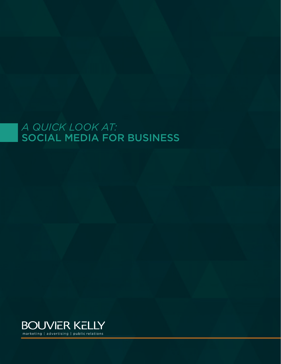# *A QUICK LOOK AT:* SOCIAL MEDIA FOR BUSINESS

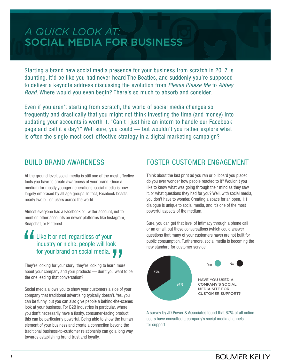# *A QUICK LOOK AT:* SOCIAL MEDIA FOR BUSINESS

Starting a brand new social media presence for your business from scratch in 2017 is daunting. It'd be like you had never heard The Beatles, and suddenly you're supposed to deliver a keynote address discussing the evolution from *Please Please Me* to *Abbey Road*. Where would you even begin? There's so much to absorb and consider.

Even if you aren't starting from scratch, the world of social media changes so frequently and drastically that you might not think investing the time (and money) into updating your accounts is worth it. "Can't I just hire an intern to handle our Facebook page and call it a day?" Well sure, you could — but wouldn't you rather explore what is often the single most cost-effective strategy in a digital marketing campaign?

#### BUILD BRAND AWARENESS

At the ground level, social media is still one of the most effective tools you have to create awareness of your brand. Once a medium for mostly younger generations, social media is now largely embraced by all age groups. In fact, Facebook boasts nearly two billion users across the world.

Almost everyone has a Facebook or Twitter account, not to mention other accounts on newer platforms like Instagram, Snapchat, or Pinterest.

# Like it or not, regardless of your industry or niche, people will look for your brand on social media.

They're looking for your story; they're looking to learn more about your company and your products — don't you want to be the one leading that conversation?

Social media allows you to show your customers a side of your company that traditional advertising typically doesn't. Yes, you can be funny, but you can also give people a behind-the-scenes look at your business. For B2B industries in particular, where you don't necessarily have a flashy, consumer-facing product, this can be particularly powerful. Being able to show the human element of your business and create a connection beyond the traditional business-to-customer relationship can go a long way towards establishing brand trust and loyalty.

## FOSTER CUSTOMER ENGAGEMENT

Think about the last print ad you ran or billboard you placed: do you ever wonder how people reacted to it? Wouldn't you like to know what was going through their mind as they saw it, or what questions they had for you? Well, with social media, you don't have to wonder. Creating a space for an open, 1:1 dialogue is unique to social media, and it's one of the most powerful aspects of the medium.

Sure, you can get that level of intimacy through a phone call or an email, but those conversations (which could answer questions that many of your customers have) are not built for public consumption. Furthermore, social media is becoming the new standard for customer service.



A survey by JD Power & Associates found that 67% of all online users have consulted a company's social media channels for support.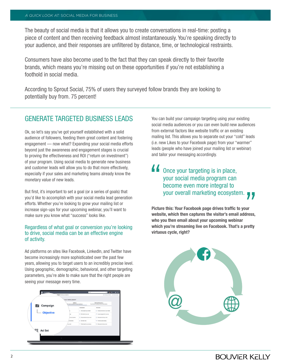The beauty of social media is that it allows you to create conversations in real-time: posting a piece of content and then receiving feedback almost instantaneously. You're speaking directly to your audience, and their responses are unfiltered by distance, time, or technological restraints.

Consumers have also become used to the fact that they can speak directly to their favorite brands, which means you're missing out on these opportunities if you're not establishing a foothold in social media.

According to Sprout Social, 75% of users they surveyed follow brands they are looking to potentially buy from. 75 percent!

### GENERATE TARGETED BUSINESS LEADS

Ok, so let's say you've got yourself established with a solid audience of followers, feeding them great content and fostering engagement — now what? Expanding your social media efforts beyond just the awareness and engagement stages is crucial to proving the effectiveness and ROI ("return on investment") of your program. Using social media to generate new business and customer leads will allow you to do that more effectively, especially if your sales and marketing teams already know the monetary value of new leads.

But first, it's important to set a goal (or a series of goals) that you'd like to accomplish with your social media lead generation efforts. Whether you're looking to grow your mailing list or increase sign-ups for your upcoming webinar, you'll want to make sure you know what "success" looks like.

#### Regardless of what goal or conversion you're looking to drive, social media can be an effective engine of activity.

Ad platforms on sites like Facebook, LinkedIn, and Twitter have become increasingly more sophisticated over the past few years, allowing you to target users to an incredibly precise level. Using geographic, demographic, behavioral, and other targeting parameters, you're able to make sure that the right people are seeing your message every time.



You can build your campaign targeting using your existing social media audiences or you can even build new audiences from external factors like website traffic or an existing mailing list. This allows you to separate out your "cold" leads (i.e. new Likes to your Facebook page) from your "warmer" leads (people who have joined your mailing list or webinar) and tailor your messaging accordingly.

## **44** Once your targeting is in place, your social media program can become even more integral to your overall marketing ecosystem.

**Picture this: Your Facebook page drives traffic to your website, which then captures the visitor's email address, who you then email about your upcoming webinar which you're streaming live on Facebook. That's a pretty virtuous cycle, right?**